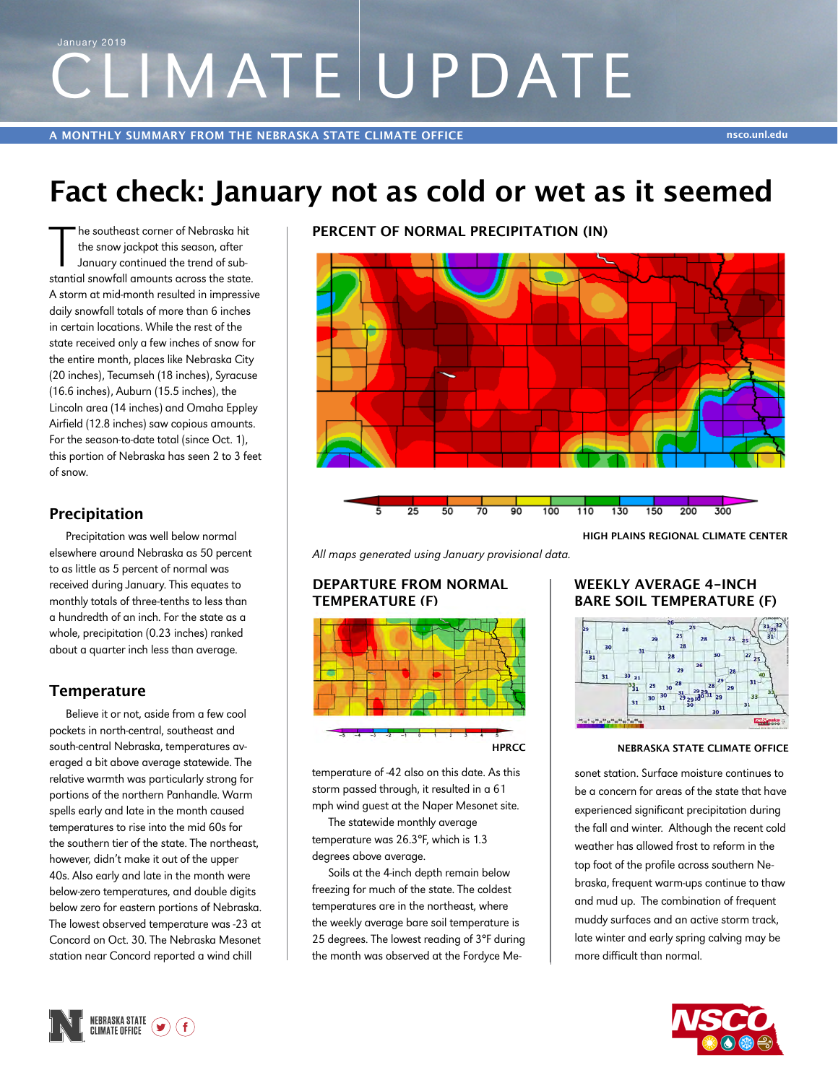# CLIMATE UPDATE January 2019

**A MONTHLY SUMMARY FROM THE NEBRASKA STATE CLIMATE OFFICE nsco.unl.edu**

## **Fact check: January not as cold or wet as it seemed**

The southeast corner of Nebraska hit<br>the snow jackpot this season, after<br>January continued the trend of sub-<br>stantial snowfall amounts across the state. he southeast corner of Nebraska hit the snow jackpot this season, after January continued the trend of sub-A storm at mid-month resulted in impressive daily snowfall totals of more than 6 inches in certain locations. While the rest of the state received only a few inches of snow for the entire month, places like Nebraska City (20 inches), Tecumseh (18 inches), Syracuse (16.6 inches), Auburn (15.5 inches), the Lincoln area (14 inches) and Omaha Eppley Airfield (12.8 inches) saw copious amounts. For the season-to-date total (since Oct. 1), this portion of Nebraska has seen 2 to 3 feet of snow.

## **Precipitation**

Precipitation was well below normal elsewhere around Nebraska as 50 percent to as little as 5 percent of normal was received during January. This equates to monthly totals of three-tenths to less than a hundredth of an inch. For the state as a whole, precipitation (0.23 inches) ranked about a quarter inch less than average.

## **Temperature**

Believe it or not, aside from a few cool pockets in north-central, southeast and south-central Nebraska, temperatures averaged a bit above average statewide. The relative warmth was particularly strong for portions of the northern Panhandle. Warm spells early and late in the month caused temperatures to rise into the mid 60s for the southern tier of the state. The northeast, however, didn't make it out of the upper 40s. Also early and late in the month were below-zero temperatures, and double digits below zero for eastern portions of Nebraska. The lowest observed temperature was -23 at Concord on Oct. 30. The Nebraska Mesonet station near Concord reported a wind chill

**PERCENT OF NORMAL PRECIPITATION (IN)**



*All maps generated using January provisional data.*

#### **DEPARTURE FROM NORMAL TEMPERATURE (F)**



temperature of -42 also on this date. As this storm passed through, it resulted in a 61 mph wind guest at the Naper Mesonet site.

The statewide monthly average temperature was 26.3°F, which is 1.3 degrees above average.

Soils at the 4-inch depth remain below freezing for much of the state. The coldest temperatures are in the northeast, where the weekly average bare soil temperature is 25 degrees. The lowest reading of 3°F during the month was observed at the Fordyce Me-

#### **WEEKLY AVERAGE 4-INCH BARE SOIL TEMPERATURE (F)**



#### **NEBRASKA STATE CLIMATE OFFICE**

sonet station. Surface moisture continues to be a concern for areas of the state that have experienced significant precipitation during the fall and winter. Although the recent cold weather has allowed frost to reform in the top foot of the profile across southern Nebraska, frequent warm-ups continue to thaw and mud up. The combination of frequent muddy surfaces and an active storm track, late winter and early spring calving may be more difficult than normal.